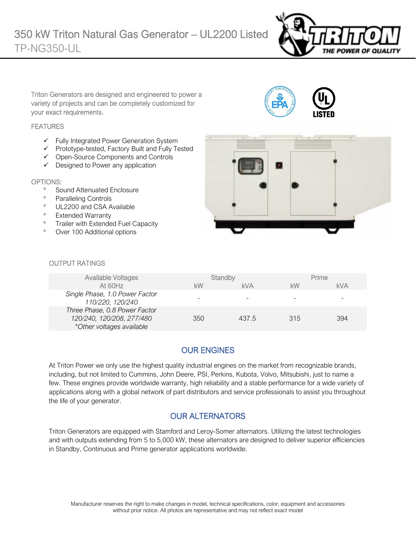

Triton Generators are designed and engineered to power a variety of projects and can be completely customized for your exact requirements.

#### **FEATURES**

- ✓ Fully Integrated Power Generation System
- ✓ Prototype-tested, Factory Built and Fully Tested
- ✓ Open-Source Components and Controls
- ✓ Designed to Power any application

#### OPTIONS:

- <sup>o</sup> Sound Attenuated Enclosure
- <sup>o</sup> Paralleling Controls
- <sup>o</sup> UL2200 and CSA Available
- <sup>o</sup> Extended Warranty
- <sup>o</sup> Trailer with Extended Fuel Capacity
- Over 100 Additional options



#### OUTPUT RATINGS

| Available Voltages<br>At 60Hz                                                           | kW  | Standby<br><b>kVA</b> | kW  | Prime<br>kVA |
|-----------------------------------------------------------------------------------------|-----|-----------------------|-----|--------------|
| Single Phase, 1.0 Power Factor<br>110/220, 120/240                                      |     |                       |     |              |
| Three Phase, 0.8 Power Factor<br>120/240, 120/208, 277/480<br>*Other voltages available | 350 | 437.5                 | 315 | 394          |

# OUR ENGINES

At Triton Power we only use the highest quality industrial engines on the market from recognizable brands, including, but not limited to Cummins, John Deere, PSI, Perkins, Kubota, Volvo, Mitsubishi, just to name a few. These engines provide worldwide warranty, high reliability and a stable performance for a wide variety of applications along with a global network of part distributors and service professionals to assist you throughout the life of your generator.

# OUR ALTERNATORS

Triton Generators are equipped with Stamford and Leroy-Somer alternators. Utilizing the latest technologies and with outputs extending from 5 to 5,000 kW, these alternators are designed to deliver superior efficiencies in Standby, Continuous and Prime generator applications worldwide.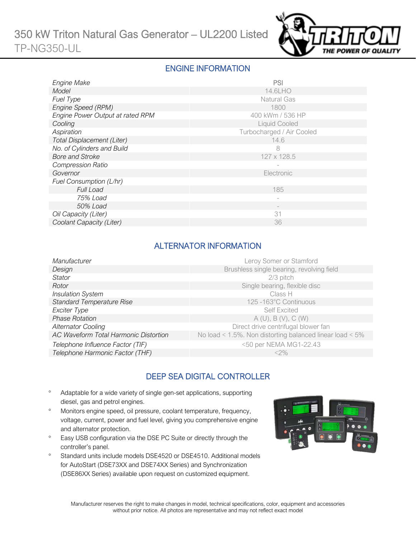

#### ENGINE INFORMATION

| Engine Make                       | PSI                       |
|-----------------------------------|---------------------------|
| Model                             | 14.6LHO                   |
| <b>Fuel Type</b>                  | <b>Natural Gas</b>        |
| Engine Speed (RPM)                | 1800                      |
| Engine Power Output at rated RPM  | 400 kWm / 536 HP          |
| Cooling                           | <b>Liquid Cooled</b>      |
| Aspiration                        | Turbocharged / Air Cooled |
| <b>Total Displacement (Liter)</b> | 14.6                      |
| No. of Cylinders and Build        | 8                         |
| <b>Bore and Stroke</b>            | 127 x 128.5               |
| <b>Compression Ratio</b>          |                           |
| Governor                          | Electronic                |
| Fuel Consumption (L/hr)           |                           |
| <b>Full Load</b>                  | 185                       |
| 75% Load                          | $\overline{\phantom{0}}$  |
| 50% Load                          |                           |
| Oil Capacity (Liter)              | 31                        |
| Coolant Capacity (Liter)          | 36                        |

### ALTERNATOR INFORMATION

| Manufacturer                          | Leroy Somer or Stamford                                         |
|---------------------------------------|-----------------------------------------------------------------|
| Design                                | Brushless single bearing, revolving field                       |
| Stator                                | 2/3 pitch                                                       |
| Rotor                                 | Single bearing, flexible disc                                   |
| <b>Insulation System</b>              | Class H                                                         |
| <b>Standard Temperature Rise</b>      | 125 -163°C Continuous                                           |
| Exciter Type                          | <b>Self Excited</b>                                             |
| <b>Phase Rotation</b>                 | A(U), B(V), C(W)                                                |
| <b>Alternator Cooling</b>             | Direct drive centrifugal blower fan                             |
| AC Waveform Total Harmonic Distortion | No load < $1.5\%$ . Non distorting balanced linear load < $5\%$ |
| Telephone Influence Factor (TIF)      | <50 per NEMA MG1-22.43                                          |
| Telephone Harmonic Factor (THF)       | $<$ 2%                                                          |
|                                       |                                                                 |

# DEEP SEA DIGITAL CONTROLLER

- Adaptable for a wide variety of single gen-set applications, supporting diesel, gas and petrol engines.
- Monitors engine speed, oil pressure, coolant temperature, frequency, voltage, current, power and fuel level, giving you comprehensive engine and alternator protection.
- <sup>o</sup> Easy USB configuration via the DSE PC Suite or directly through the controller's panel.
- <sup>o</sup> Standard units include models DSE4520 or DSE4510. Additional models for AutoStart (DSE73XX and DSE74XX Series) and Synchronization (DSE86XX Series) available upon request on customized equipment.

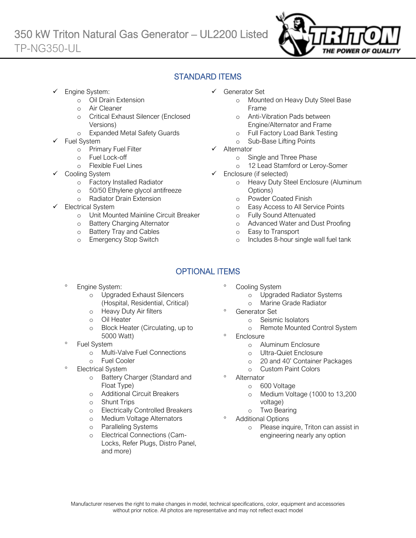

### STANDARD ITEMS

Engine System:

Ī

- o Oil Drain Extension
- o Air Cleaner
- o Critical Exhaust Silencer (Enclosed Versions)
- o Expanded Metal Safety Guards
- Fuel System
	- o Primary Fuel Filter
	- o Fuel Lock-off
		- o Flexible Fuel Lines
	- Cooling System
		- o Factory Installed Radiator
		- o 50/50 Ethylene glycol antifreeze
		- o Radiator Drain Extension
- Electrical System
	- o Unit Mounted Mainline Circuit Breaker
	- o Battery Charging Alternator
	- o Battery Tray and Cables
	- o Emergency Stop Switch
- ✓ Generator Set
	- o Mounted on Heavy Duty Steel Base Frame
	- o Anti-Vibration Pads between Engine/Alternator and Frame
	- o Full Factory Load Bank Testing
	- o Sub-Base Lifting Points
- ✓ Alternator
	- o Single and Three Phase
	- o 12 Lead Stamford or Leroy-Somer
- $\checkmark$  Enclosure (if selected)
	- o Heavy Duty Steel Enclosure (Aluminum Options)
	- o Powder Coated Finish
	- o Easy Access to All Service Points
	- o Fully Sound Attenuated
	- o Advanced Water and Dust Proofing
	- o Easy to Transport
	- o Includes 8-hour single wall fuel tank

# OPTIONAL ITEMS

- Engine System:
	- o Upgraded Exhaust Silencers (Hospital, Residential, Critical)
	- o Heavy Duty Air filters
	- o Oil Heater
	- o Block Heater (Circulating, up to 5000 Watt)
- Fuel System
	- o Multi-Valve Fuel Connections
	- o Fuel Cooler
- Electrical System
	- o Battery Charger (Standard and Float Type)
	- o Additional Circuit Breakers
	- o Shunt Trips
	- o Electrically Controlled Breakers
	- o Medium Voltage Alternators
	- o Paralleling Systems
	- o Electrical Connections (Cam-Locks, Refer Plugs, Distro Panel, and more)
- Cooling System
	- o Upgraded Radiator Systems
	- o Marine Grade Radiator
	- Generator Set
		- o Seismic Isolators
		- o Remote Mounted Control System
- **Enclosure** 
	- o Aluminum Enclosure
	- o Ultra-Quiet Enclosure
	- o 20 and 40' Container Packages
	- o Custom Paint Colors
- Alternator
	- o 600 Voltage
	- o Medium Voltage (1000 to 13,200 voltage)
	- o Two Bearing
- Additional Options
	- o Please inquire, Triton can assist in engineering nearly any option